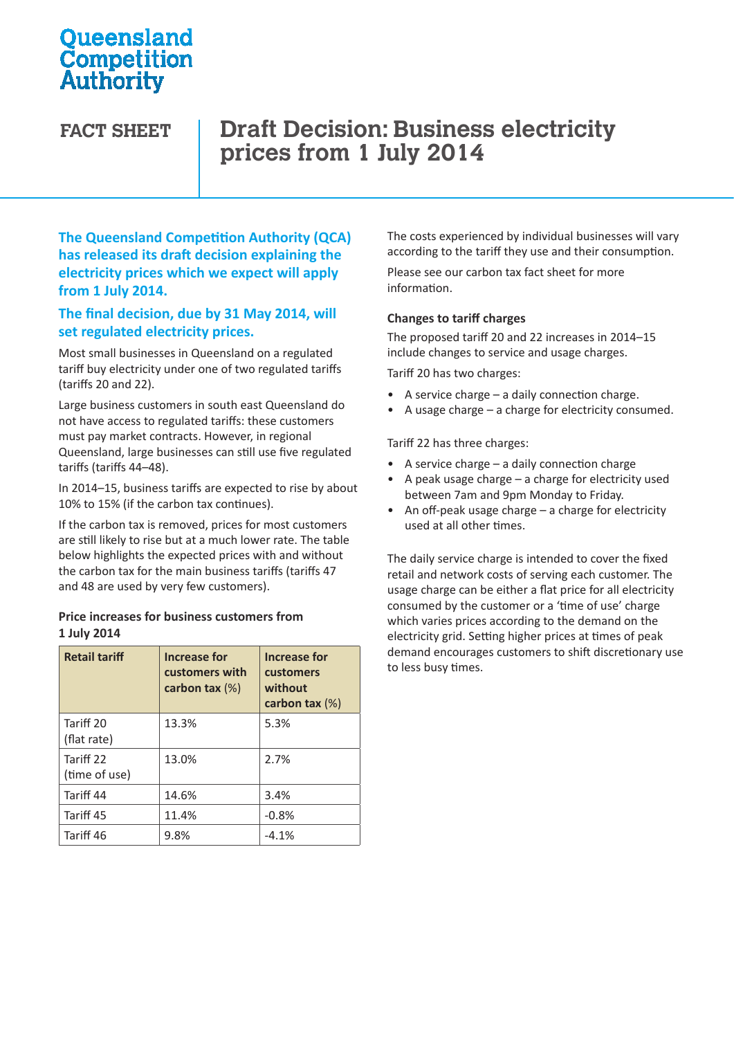## **Oueensland** Competition Authority

# **FACT SHEET Draft Decision: Business electricity prices from 1 July 2014**

**The Queensland Competition Authority (QCA) has released its draft decision explaining the electricity prices which we expect will apply from 1 July 2014.** 

### **The final decision, due by 31 May 2014, will set regulated electricity prices.**

Most small businesses in Queensland on a regulated tariff buy electricity under one of two regulated tariffs (tariffs 20 and 22).

Large business customers in south east Queensland do not have access to regulated tariffs: these customers must pay market contracts. However, in regional Queensland, large businesses can still use five regulated tariffs (tariffs 44–48).

In 2014–15, business tariffs are expected to rise by about 10% to 15% (if the carbon tax continues).

If the carbon tax is removed, prices for most customers are still likely to rise but at a much lower rate. The table below highlights the expected prices with and without the carbon tax for the main business tariffs (tariffs 47 and 48 are used by very few customers).

#### **Price increases for business customers from 1 July 2014**

| <b>Retail tariff</b>       | Increase for<br>customers with<br>carbon tax $(\%)$ | Increase for<br>customers<br>without<br>carbon tax $(\%)$ |
|----------------------------|-----------------------------------------------------|-----------------------------------------------------------|
| Tariff 20<br>(flat rate)   | 13.3%                                               | 5.3%                                                      |
| Tariff 22<br>(time of use) | 13.0%                                               | 2.7%                                                      |
| Tariff 44                  | 14.6%                                               | 3.4%                                                      |
| Tariff 45                  | 11.4%                                               | $-0.8%$                                                   |
| Tariff 46                  | 9.8%                                                | $-4.1%$                                                   |

The costs experienced by individual businesses will vary according to the tariff they use and their consumption.

Please see our carbon tax fact sheet for more information.

#### **Changes to tariff charges**

The proposed tariff 20 and 22 increases in 2014–15 include changes to service and usage charges.

Tariff 20 has two charges:

- A service charge a daily connection charge.
- A usage charge a charge for electricity consumed.

Tariff 22 has three charges:

- A service charge  $-$  a daily connection charge
- A peak usage charge  $-$  a charge for electricity used between 7am and 9pm Monday to Friday.
- An off-peak usage charge a charge for electricity used at all other times.

The daily service charge is intended to cover the fixed retail and network costs of serving each customer. The usage charge can be either a flat price for all electricity consumed by the customer or a 'time of use' charge which varies prices according to the demand on the electricity grid. Setting higher prices at times of peak demand encourages customers to shift discretionary use to less busy times.